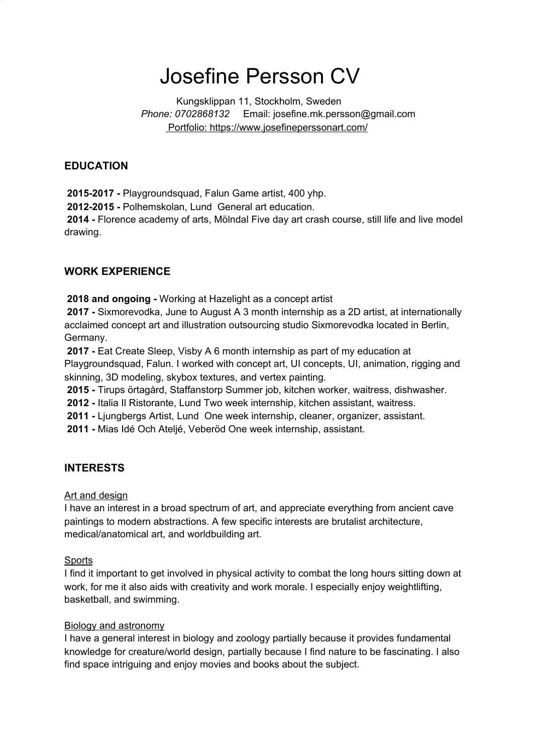# Josefine Persson CV

Kungsklippan 11, Stockholm, Sweden *Phone: 0702868132* Email: josefine.mk.persson@gmail.com Portfolio: https://www.josefineperssonart.com/

### **EDUCATION**

**2015-2017 -** Playgroundsquad, Falun Game artist, 400 yhp.

**2012-2015 -** Polhemskolan, Lund General art education.

**2014 -** Florence academy of arts, Mölndal Five day art crash course, still life and live model drawing.

### **WORK EXPERIENCE**

**2018 and ongoing -** Working at Hazelight as a concept artist

**2017 -** Sixmorevodka, June to August A 3 month internship as a 2D artist, at internationally acclaimed concept art and illustration outsourcing studio Sixmorevodka located in Berlin, Germany.

**2017 -** Eat Create Sleep, Visby A 6 month internship as part of my education at Playgroundsquad, Falun. I worked with concept art, UI concepts, UI, animation, rigging and skinning, 3D modeling, skybox textures, and vertex painting.

**2015 -** Tirups örtagård, Staffanstorp Summer job, kitchen worker, waitress, dishwasher.

**2012 -** Italia Il Ristorante, Lund Two week internship, kitchen assistant, waitress.

**2011 -** Ljungbergs Artist, Lund One week internship, cleaner, organizer, assistant.

**2011 -** Mias Idé Och Ateljé, Veberöd One week internship, assistant.

#### **INTERESTS**

#### Art and design

I have an interest in a broad spectrum of art, and appreciate everything from ancient cave paintings to modern abstractions. A few specific interests are brutalist architecture, medical/anatomical art, and worldbuilding art.

#### **Sports**

I find it important to get involved in physical activity to combat the long hours sitting down at work, for me it also aids with creativity and work morale. I especially enjoy weightlifting, basketball, and swimming.

#### Biology and astronomy

I have a general interest in biology and zoology partially because it provides fundamental knowledge for creature/world design, partially because I find nature to be fascinating. I also find space intriguing and enjoy movies and books about the subject.